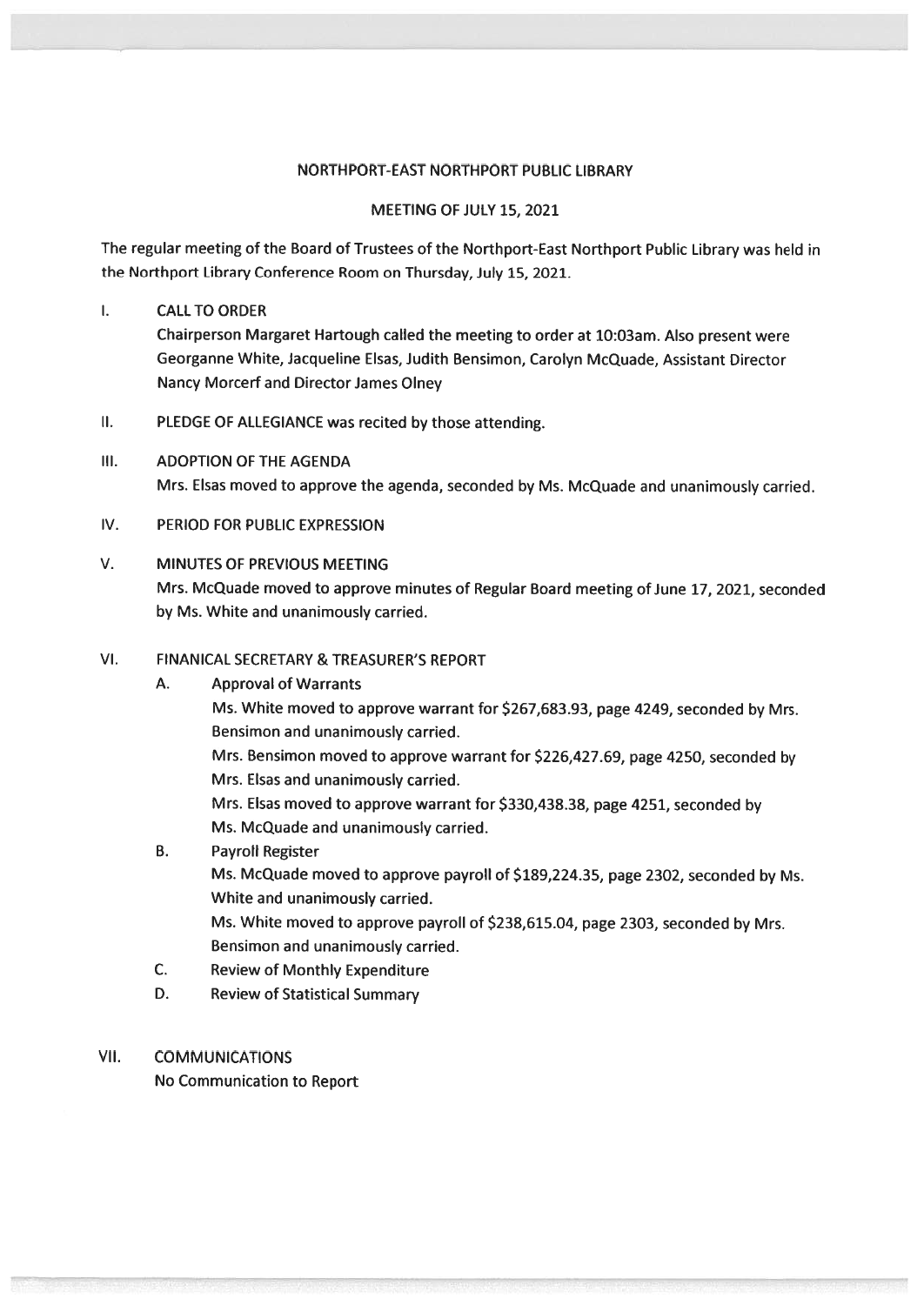#### NORTHPORT-EAST NORTHPORT PUBLIC LIBRARY

#### MEETING OF JULY 15, 2021

The regular meeting of the Board of Trustees of the Northport-East Northport Public Library was held in the Northport Library Conference Room on Thursday, July 15, 2021.

#### $\mathbf{L}$ CALLTO ORDER

Chairperson Margaret Hartough called the meeting to order at 10:03am. Also presen<sup>t</sup> were Georganne White, Jacqueline Elsas, Judith Bensimon, Carolyn McQuade, Assistant Director Nancy Morcerf and Director James Olney

- II. PLEDGE OF ALLEGIANCE was recited by those attending.
- Ill. ADOPTION OF THE AGENDA Mrs. Elsas moved to approve the agenda, seconded by Ms. McQuade and unanimously carried.
- IV. PERIOD FOR PUBLIC EXPRESSION

#### V. MINUTES OF PREVIOUS MEETING Mrs. McQuade moved to approve minutes of Regular Board meeting of June 17, 2021, seconded by Ms. White and unanimously carried.

#### VI. FINANICAL SECRETARY & TREASURER'S REPORT

#### A. Approval of Warrants

Ms. White moved to approve warrant for \$267,683.93, page 4249, seconded by Mrs. Bensimon and unanimously carried.

Mrs. Bensimon moved to approve warrant for \$226,427.69, page 4250, seconded by Mrs. Elsas and unanimously carried.

Mrs. Elsas moved to approve warrant for \$330,438.38, page 4251, seconded by Ms. McQuade and unanimously carried.

- B. Payroll Register Ms. McQuade moved to approve payroll of \$189,224.35, page 2302, seconded by Ms. White and unanimously carried. Ms. White moved to approve payroll of \$238,615.04, page 2303, seconded by Mrs. Bensimon and unanimously carried.
	- C. Review of Monthly Expenditure
	- D. Review of Statistical Summary

#### VII. COMMUNICATIONS

No Communication to Report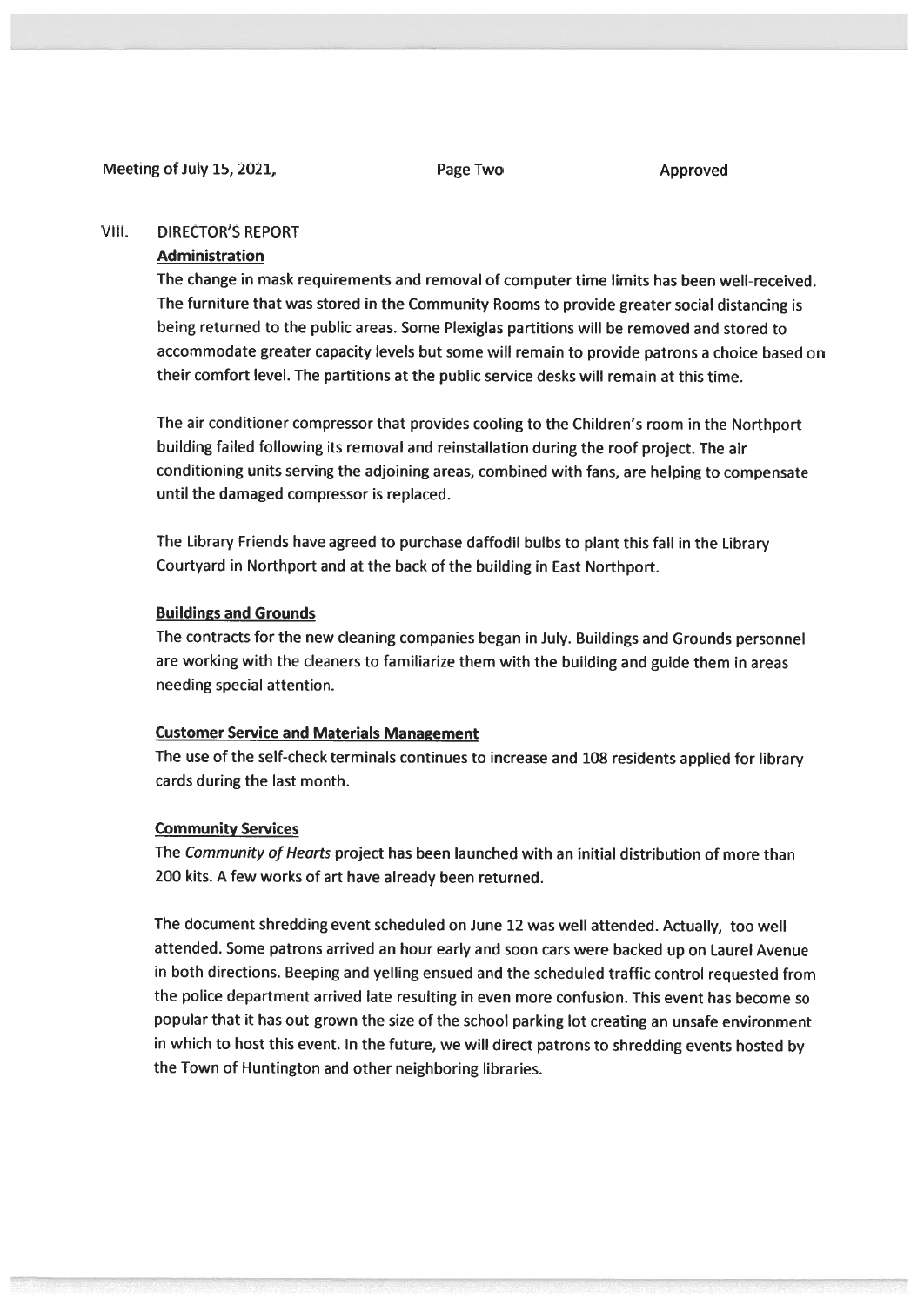#### Meeting of July 15, 2021, The Page Two Page Two Approved

#### VIII. DIRECTOR'S REPORT

#### Administration

The change in mask requirements and removal of computer time limits has been well-received. The furniture that was stored in the Community Rooms to provide greater social distancing is being returned to the public areas. Some Plexiglas partitions will be removed and stored to accommodate greater capacity levels but some will remain to provide patrons <sup>a</sup> choice based on their comfort level. The partitions at the public service desks will remain at this time.

The air conditioner compressor that provides cooling to the Children's room in the Northport building failed following its removal and reinstallation during the roof project. The air conditioning units serving the adjoining areas, combined with fans, are helping to compensate until the damaged compressor is replaced.

The Library Friends have agree<sup>d</sup> to purchase daffodil bulbs to <sup>p</sup>lant this fall in the Library Courtyard in Northport and at the back of the building in East Northport.

#### Buildings and Grounds

The contracts for the new cleaning companies began in July. Buildings and Grounds personne<sup>l</sup> are working with the cleaners to familiarize them with the building and guide them in areas needing special attention.

#### Customer Service and Materials Management

The use of the self-check terminals continues to increase and <sup>108</sup> residents applied for library cards during the last month.

#### Community Services

The Community of Hearts project has been launched with an initial distribution of more than 200 kits. A few works of art have already been returned.

The document shredding event scheduled on June <sup>12</sup> was well attended. Actually, too well attended. Some patrons arrived an hour early and soon cars were backed up on Laurel Avenue in both directions. Beeping and yelling ensued and the scheduled traffic control requested from the police department arrived late resulting in even more confusion. This event has become so popular that it has out-grown the size of the school parking lot creating an unsafe environment in which to host this event. In the future, we will direct patrons to shredding events hosted by the Town of Huntington and other neighboring libraries.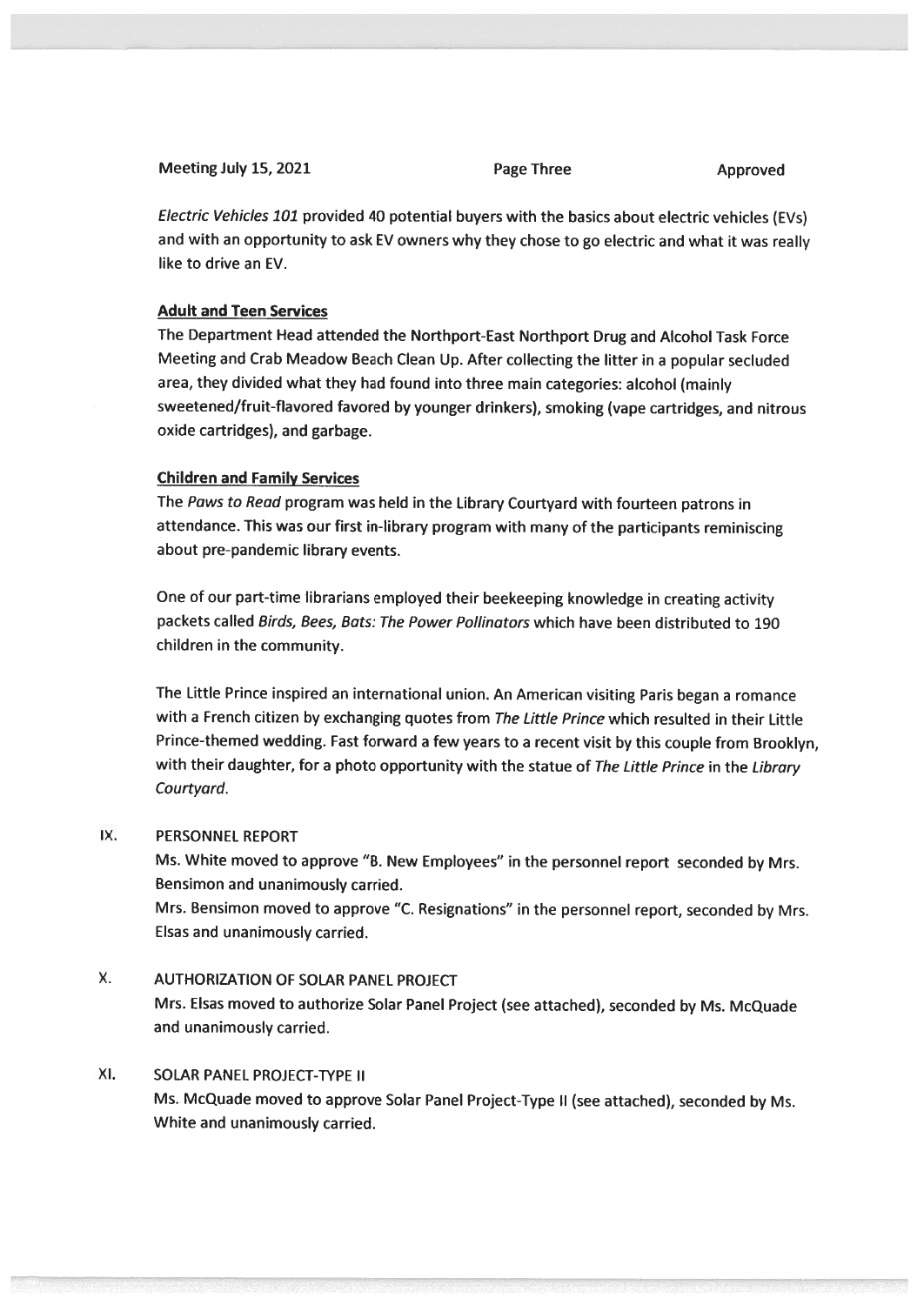| Meeting July 15, 2021 | <b>Page Three</b> | Approved |
|-----------------------|-------------------|----------|
|                       |                   |          |

Electric Vehicles <sup>101</sup> provided <sup>40</sup> potential buyers with the basics about electric vehicles (EV5) and with an opportunity to ask EV owners why they chose to go electric and what it was really like to drive an EV.

#### Adult and Teen Services

The Department Head attended the Northport-East Northport Drug and Alcohol Task Force Meeting and Crab Meadow Beach Clean Up. After collecting the litter in <sup>a</sup> popular secluded area, they divided what they had found into three main categories: alcohol (mainly sweetened/fruit-flavored favored by younger drinkers), smoking (vape cartridges, and nitrous oxide cartridges), and garbage.

#### Children and Family Services

The Paws to Read program was held in the Library Courtyard with fourteen patrons in attendance. This was our first in-library program with many of the participants reminiscing about pre-pandemic library events.

One of our part-time librarians employed their beekeeping knowledge in creating activity packets called Birds, Bees, Bats: The Power Pollinators which have been distributed to 190 children in the community.

The Little Prince inspired an international union. An American visiting Paris began <sup>a</sup> romance with a French citizen by exchanging quotes from The Little Prince which resulted in their Little Prince-themed wedding. Fast forward <sup>a</sup> few years to <sup>a</sup> recent visit by this couple from Brooklyn, with their daughter, for a photo opportunity with the statue of The Little Prince in the Library Courtyard.

#### IX. PERSONNEL REPORT

Ms. White moved to approve "B. New Employees" in the personne<sup>l</sup> repor<sup>t</sup> seconded by Mrs. Bensimon and unanimously carried.

Mrs. Bensimon moved to approve "C. Resignations" in the personne<sup>l</sup> report, seconded by Mrs. Elsas and unanimously carried.

#### X. AUTHORIZATION OF SOLAR PANEL PROJECT

Mrs. Elsas moved to authorize Solar Panel Project (see attached), seconded by Ms. McQuade and unanimously carried.

#### XI. SOLAR PANEL PROJECT-TYPE II

Ms. McQuade moved to approve Solar Panel Project-Type II (see attached), seconded by Ms. White and unanimously carried.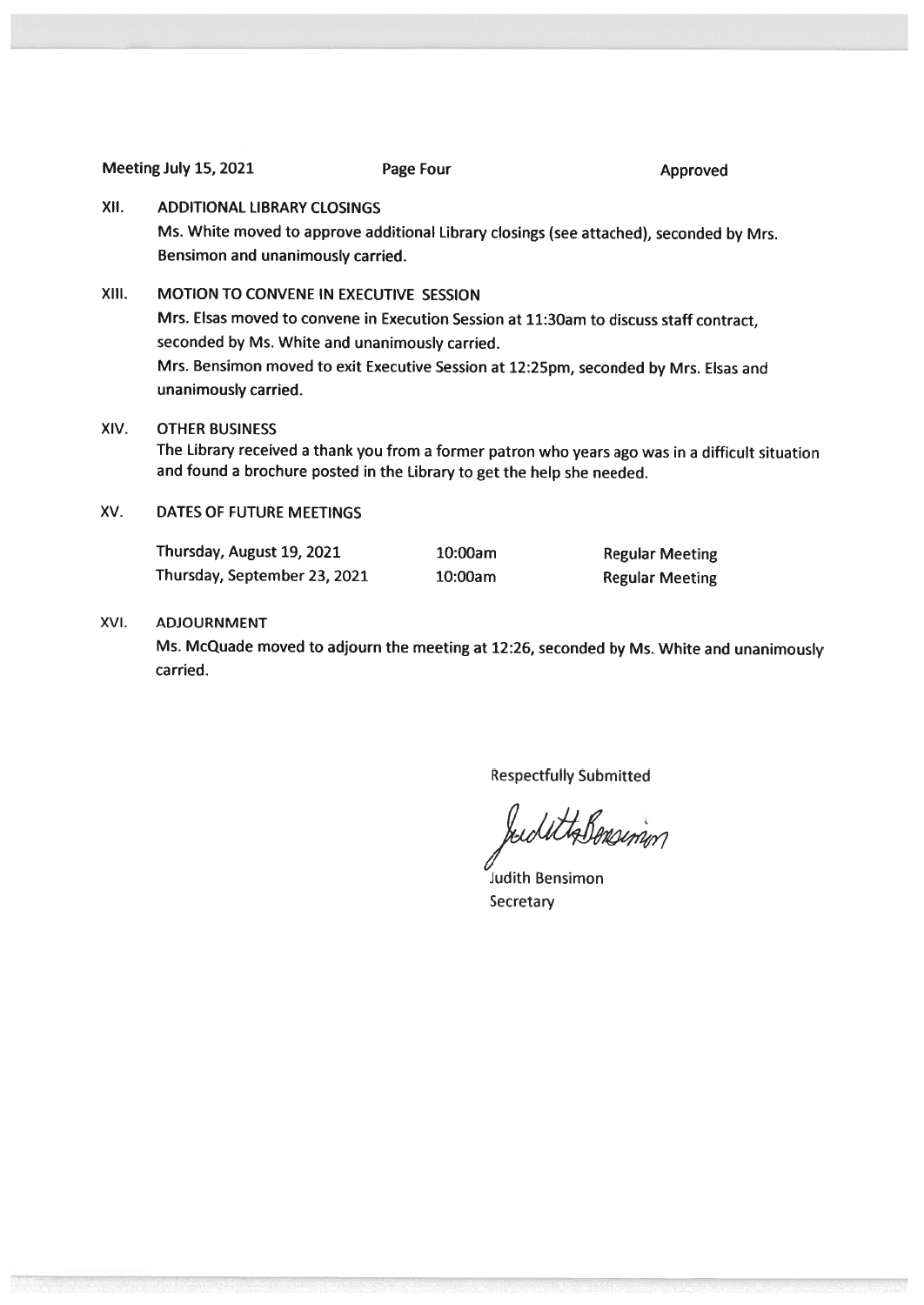Meeting July 15, 2021 **Page Four** Page Four Approved

#### XII. ADDITIONAL LIBRARY CLOSINGS

Ms. White moved to approve additional Library closings (see attached), seconded by Mrs. Bensimon and unanimously carried.

#### XIII. MOTION TO CONVENE IN EXECUTIVE SESSION

Mrs. Elsas moved to convene in Execution Session at 11:30am to discuss staff contract, seconded by Ms. White and unanimously carried. Mrs. Bensimon moved to exit Executive Session at 12:25pm, seconded by Mrs. Elsas and unanimously carried.

#### XIV. OTHER BUSINESS

The Library received <sup>a</sup> thank you from <sup>a</sup> former patron who years ago was in <sup>a</sup> difficult situation and found <sup>a</sup> brochure posted in the Library to get the help she needed.

XV. DATES OF FUTURE MEETINGS

Thursday, August 19, 2021 10:00am Regular Meeting Thursday, September 23, <sup>2021</sup> 10:00am Regular Meeting

#### XVI. ADJOURNMENT

Ms. McQuade moved to adjourn the meeting at 12:26, seconded by Ms. White and unanimously carried.

Respectfully Submitted

budettalensin

Judith Bensimon Secretary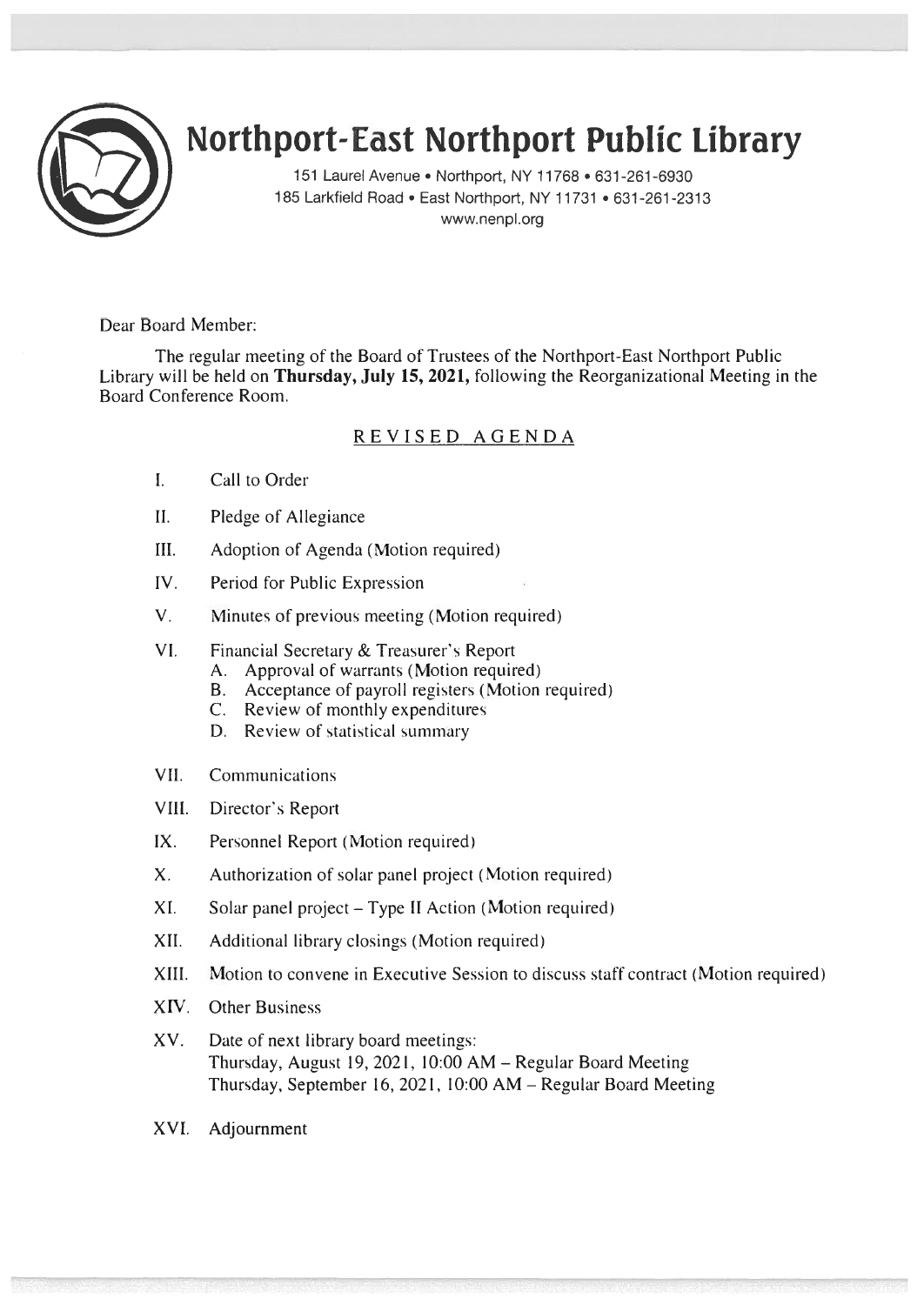

# Northport-East Northport Public Library

151 Laurel Avenue • Northport, NY 11768 • 631-261-6930 185 Larkfield Road • East Northport, NY 11731 • 631-261-2313 www.nenpl.org

Dear Board Member:

The regular meeting of the Board of Trustees of the Northport-East Northport Public Library will be held on Thursday, July 15, 2021, following the Reorganizational Meeting in the Board Conference Room.

### REVISED AGENDA

- I. Call to Order
- II. Pledge of Allegiance
- III. Adoption of Agenda (Motion required)
- IV. Period for Public Expression
- V. Minutes of previous meeting (Motion required)
- VI. Financial Secretary & Treasurer's Report
	- A. Approval of warrants (Motion required)
	- B. Acceptance of payroll registers (Motion required)
	- C. Review of monthly expenditures
	- D. Review of statistical summary
- VII. Communications
- VIII. Director's Report
- IX. Personnel Report (Motion required)
- X. Authorization of solar panel project (Motion required)
- XI. Solar panel project Type II Action (Motion required)
- XII. Additional library closings (Motion required)
- XIII. Motion to convene in Executive Session to discuss staff contract (Motion required)
- XIV. Other Business
- XV. Date of next library board meetings: Thursday, August 19, 2021. 10:00 AM — Regular Board Meeting Thursday, September 16, 2021, 10:00 AM — Regular Board Meeting
- XVI. Adjournment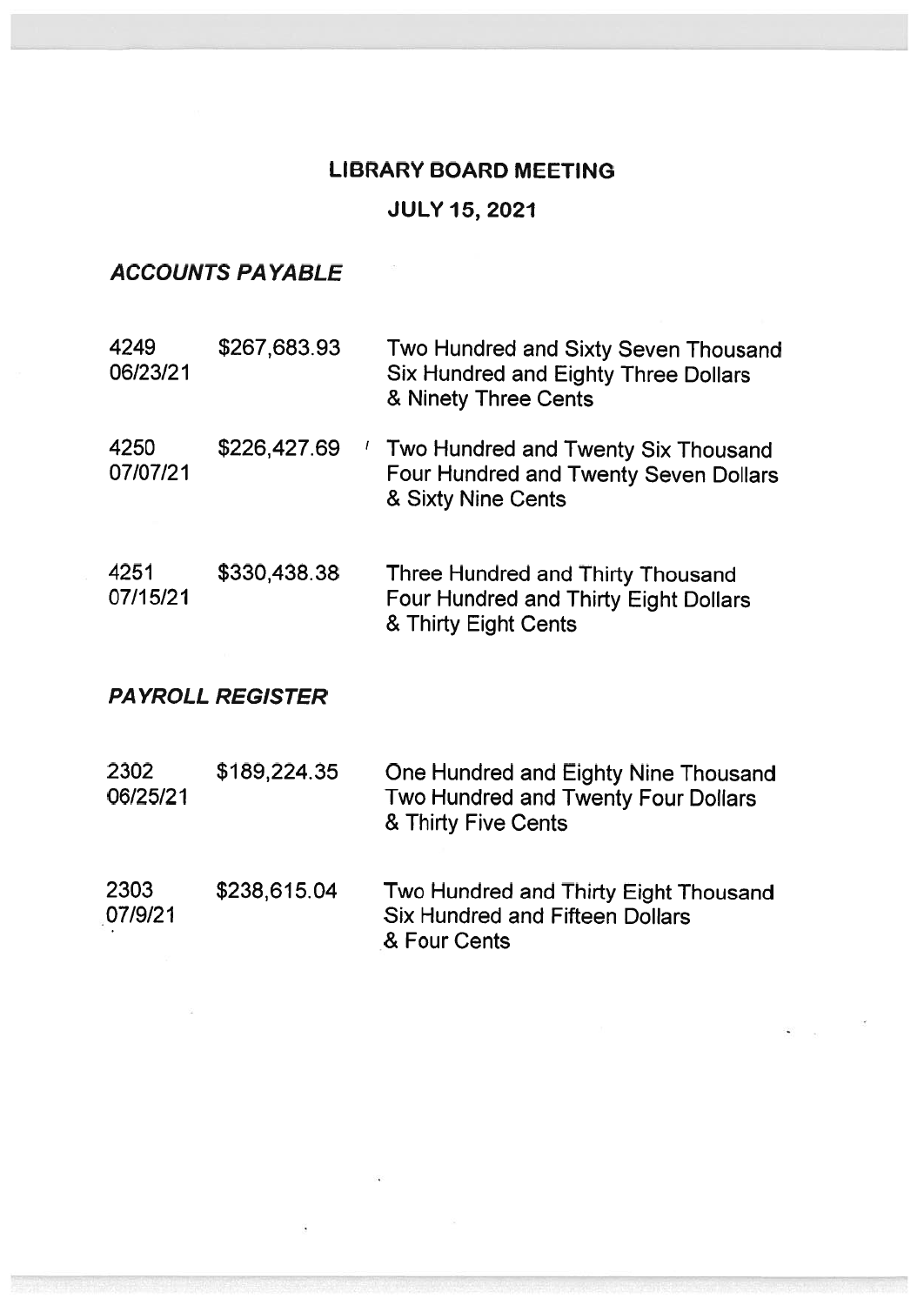## LIBRARY BOARD MEETING JULY 15, 2021

### ACCOUNTS PAYABLE

| 4249<br>06/23/21        | \$267,683.93      | Two Hundred and Sixty Seven Thousand<br>Six Hundred and Eighty Three Dollars<br>& Ninety Three Cents      |  |  |
|-------------------------|-------------------|-----------------------------------------------------------------------------------------------------------|--|--|
| 4250<br>07/07/21        | \$226,427.69<br>L | Two Hundred and Twenty Six Thousand<br>Four Hundred and Twenty Seven Dollars<br>& Sixty Nine Cents        |  |  |
| 4251<br>07/15/21        | \$330,438.38      | Three Hundred and Thirty Thousand<br><b>Four Hundred and Thirty Eight Dollars</b><br>& Thirty Eight Cents |  |  |
| <b>PAYROLL REGISTER</b> |                   |                                                                                                           |  |  |
| 2302<br>06/25/21        | \$189,224.35      | One Hundred and Eighty Nine Thousand<br>Two Hundred and Twenty Four Dollars<br>& Thirty Five Cents        |  |  |
| 2303<br>07/9/21         | \$238,615.04      | Two Hundred and Thirty Eight Thousand<br><b>Six Hundred and Fifteen Dollars</b>                           |  |  |

& Four Cents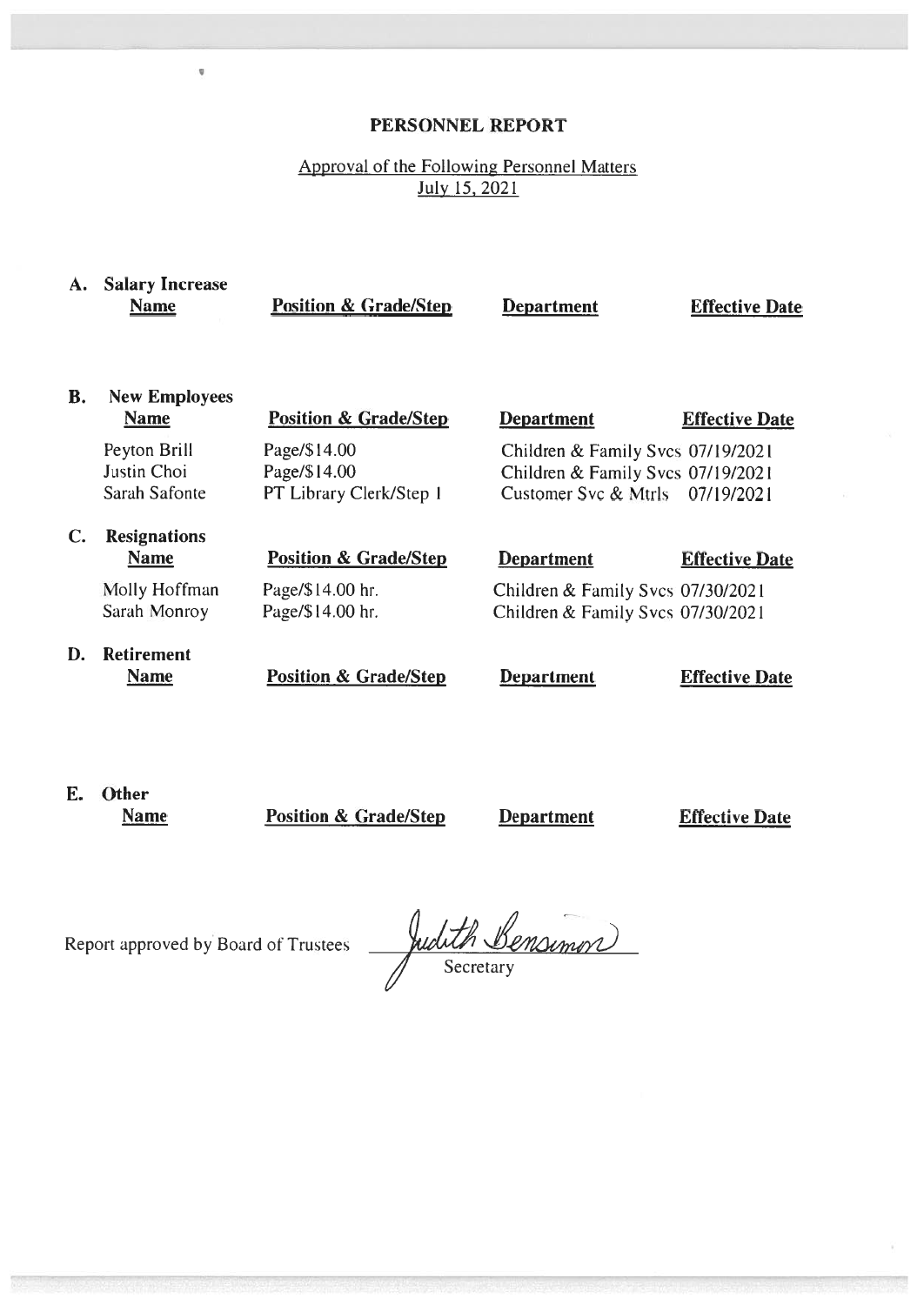#### PERSONNEL REPORT

#### Approval of the Following Personnel Matters July 15, 2021

| A. | <b>Salary Increase</b><br><b>Name</b>        | <b>Position &amp; Grade/Step</b>                        | <b>Department</b>                                                                                         | <b>Effective Date</b> |
|----|----------------------------------------------|---------------------------------------------------------|-----------------------------------------------------------------------------------------------------------|-----------------------|
| В. | <b>New Employees</b><br><b>Name</b>          | <b>Position &amp; Grade/Step</b>                        | <b>Department</b>                                                                                         | <b>Effective Date</b> |
|    | Peyton Brill<br>Justin Choi<br>Sarah Safonte | Page/\$14.00<br>Page/\$14.00<br>PT Library Clerk/Step 1 | Children & Family Svcs 07/19/2021<br>Children & Family Svcs 07/19/2021<br>Customer Svc & Mtrls 07/19/2021 |                       |
| C. | <b>Resignations</b><br><b>Name</b>           | <b>Position &amp; Grade/Step</b>                        | <b>Department</b>                                                                                         | <b>Effective Date</b> |
|    | Molly Hoffman<br>Sarah Monroy                | Page/\$14.00 hr.<br>Page/\$14.00 hr.                    | Children & Family Svcs 07/30/2021<br>Children & Family Svcs 07/30/2021                                    |                       |
| D. | <b>Retirement</b><br><b>Name</b>             | <b>Position &amp; Grade/Step</b>                        | <b>Department</b>                                                                                         | <b>Effective Date</b> |

E. Other

Name **Position & Grade/Step Department Effective Date** 

Report approved by Board of Trustees

×

Judith Bensimon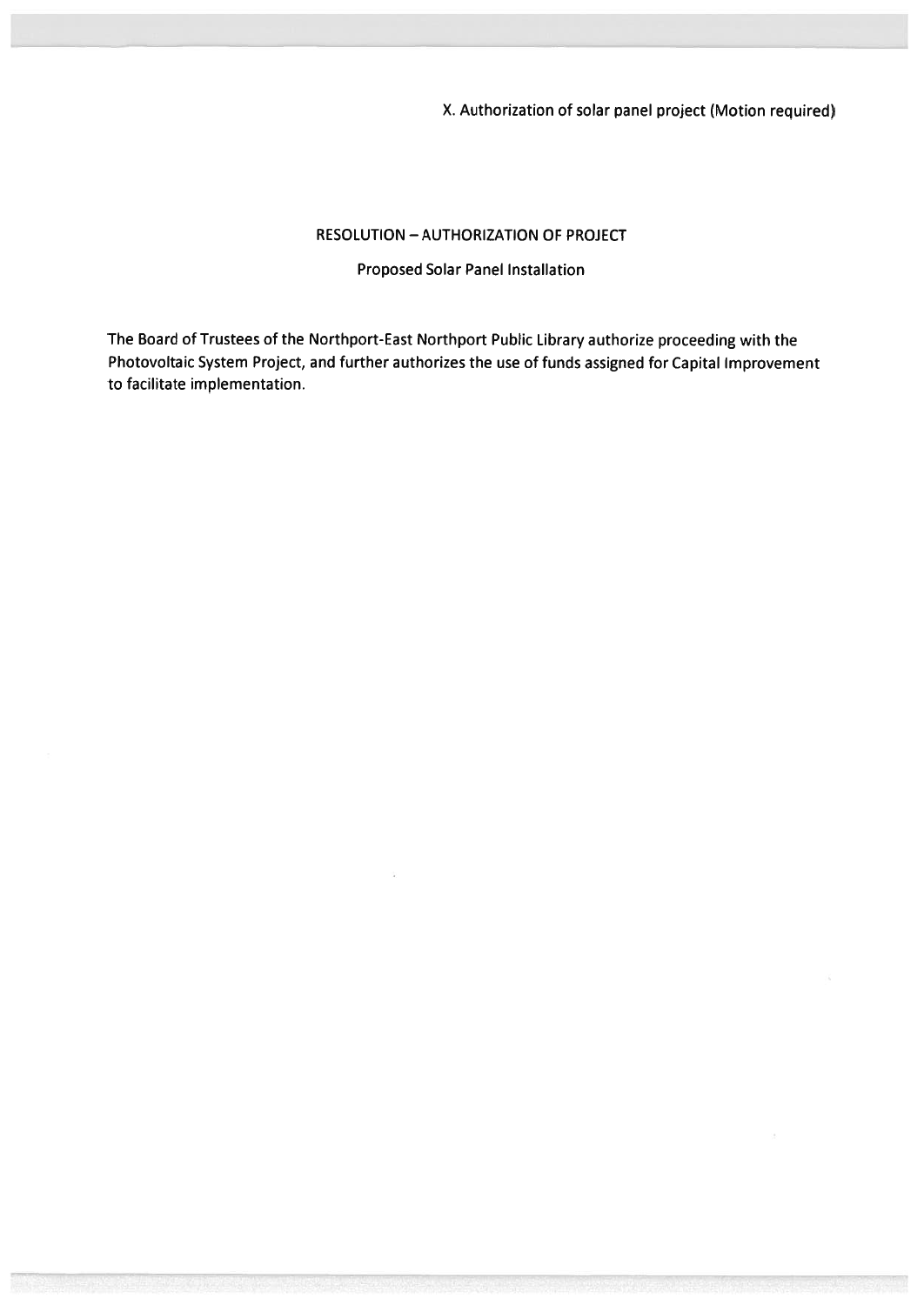X. Authorization of solar panel project (Motion required)

#### RESOLUTION — AUTHORIZATION OF PROJECT

#### Proposed Solar Panel Installation

The Board of Trustees of the Northport-East Northport Public Library authorize proceeding with the Photovoltaic System Project, and further authorizes the use of funds assigned for Capital Improvement to facilitate implementation.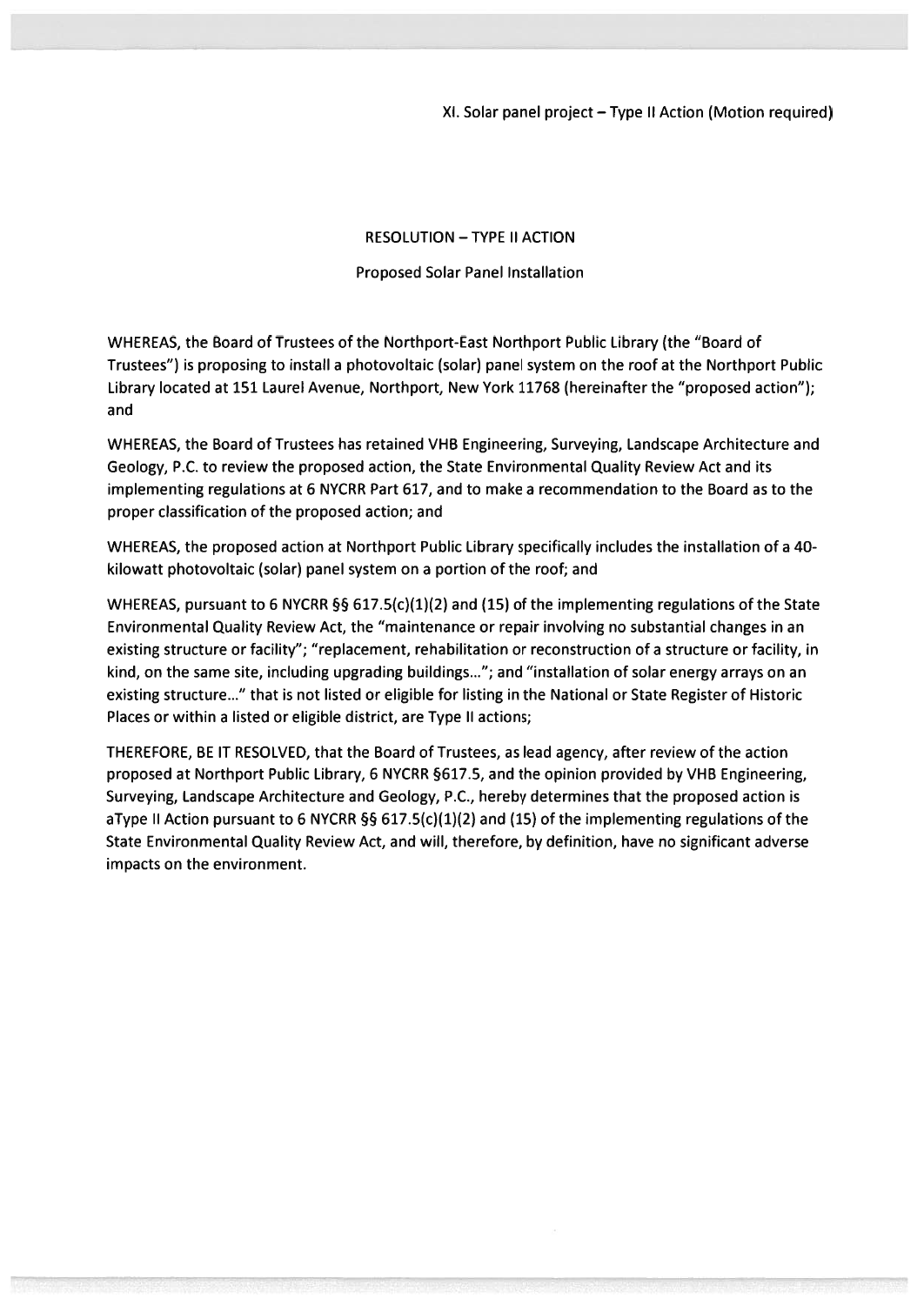Xl. Solar panel project—Type II Action (Motion required)

#### RESOLUTION —TYPE II ACTION

#### Proposed Solar Panel Installation

WHEREAS, the Board of Trustees of the Northport-East Northport Public Library (the "Board of Trustees") is proposing to install <sup>a</sup> photovoltaic (solar) panel system on the roof at the Northport Public Library located at 151 Laurel Avenue, Northport, New York 11768 (hereinafter the "proposed action"); and

WHEREAS, the Board of Trustees has retained VHB Engineering, Surveying, Landscape Architecture and Geology, P.C. to review the proposed action, the State Environmental Quality Review Act and its implementing regulations at 6 NYCRR Part 617, and to make <sup>a</sup> recommendation to the Board as to the proper classification of the proposed action; and

WHEREAS, the proposed action at Northport Public Library specifically includes the installation of <sup>a</sup> 40 kilowatt photovoltaic (solar) panel system on <sup>a</sup> portion of the roof; and

WHEREAS, pursuant to 6 NYCRR §§ 617.5(c)(1)(2) and (15) of the implementing regulations of the State Environmental Quality Review Act, the "maintenance or repair involving no substantial changes in an existing structure or facility"; "replacement, rehabilitation or reconstruction of <sup>a</sup> structure or facility, in kind, on the same site, including upgrading buildings..."; and "installation of solar energy arrays on an existing structure..." that is not listed or eligible for listing in the National or State Register of Historic Places or within <sup>a</sup> listed or eligible district, are Type II actions;

THEREFORE, BE IT RESOLVED, that the Board of Trustees, as lead agency, after review of the action proposed at Northport Public Library, 6 NYCRR §617.5, and the opinion provided by VHB Engineering, Surveying, Landscape Architecture and Geology, P.C., hereby determines that the proposed action is aType II Action pursuant to 6 NYCRR §§ 617.5(c)(1)(2) and (15) of the implementing regulations of the State Environmental Quality Review Act, and will, therefore, by definition, have no significant adverse impacts on the environment.